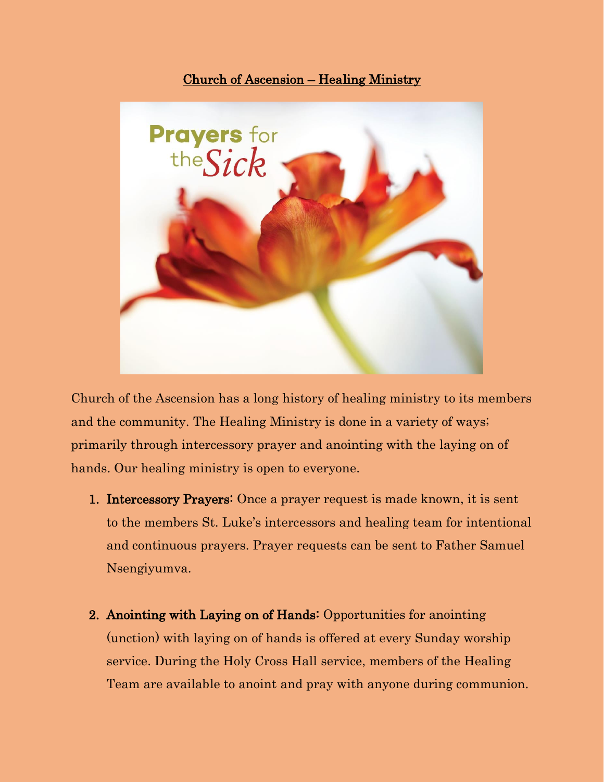## Church of Ascension – Healing Ministry



Church of the Ascension has a long history of healing ministry to its members and the community. The Healing Ministry is done in a variety of ways; primarily through intercessory prayer and anointing with the laying on of hands. Our healing ministry is open to everyone.

- 1. Intercessory Prayers: Once a prayer request is made known, it is sent to the members St. Luke's intercessors and healing team for intentional and continuous prayers. Prayer requests can be sent to Father Samuel Nsengiyumva.
- 2. Anointing with Laying on of Hands: Opportunities for anointing (unction) with laying on of hands is offered at every Sunday worship service. During the Holy Cross Hall service, members of the Healing Team are available to anoint and pray with anyone during communion.